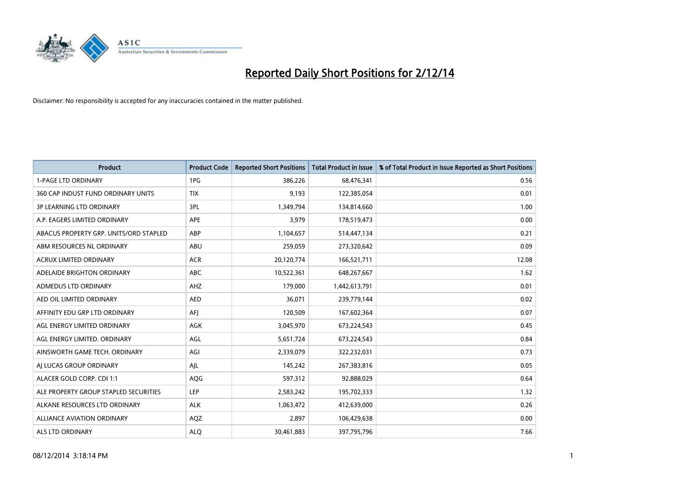

| <b>Product</b>                         | <b>Product Code</b> | <b>Reported Short Positions</b> | <b>Total Product in Issue</b> | % of Total Product in Issue Reported as Short Positions |
|----------------------------------------|---------------------|---------------------------------|-------------------------------|---------------------------------------------------------|
| <b>1-PAGE LTD ORDINARY</b>             | 1PG                 | 386,226                         | 68,476,341                    | 0.56                                                    |
| 360 CAP INDUST FUND ORDINARY UNITS     | <b>TIX</b>          | 9,193                           | 122,385,054                   | 0.01                                                    |
| <b>3P LEARNING LTD ORDINARY</b>        | 3PL                 | 1,349,794                       | 134,814,660                   | 1.00                                                    |
| A.P. EAGERS LIMITED ORDINARY           | APE                 | 3,979                           | 178,519,473                   | 0.00                                                    |
| ABACUS PROPERTY GRP. UNITS/ORD STAPLED | ABP                 | 1,104,657                       | 514,447,134                   | 0.21                                                    |
| ABM RESOURCES NL ORDINARY              | ABU                 | 259,059                         | 273,320,642                   | 0.09                                                    |
| <b>ACRUX LIMITED ORDINARY</b>          | <b>ACR</b>          | 20,120,774                      | 166,521,711                   | 12.08                                                   |
| ADELAIDE BRIGHTON ORDINARY             | <b>ABC</b>          | 10,522,361                      | 648,267,667                   | 1.62                                                    |
| ADMEDUS LTD ORDINARY                   | AHZ                 | 179,000                         | 1,442,613,791                 | 0.01                                                    |
| AED OIL LIMITED ORDINARY               | <b>AED</b>          | 36,071                          | 239,779,144                   | 0.02                                                    |
| AFFINITY EDU GRP LTD ORDINARY          | AFI                 | 120,509                         | 167,602,364                   | 0.07                                                    |
| AGL ENERGY LIMITED ORDINARY            | AGK                 | 3,045,970                       | 673,224,543                   | 0.45                                                    |
| AGL ENERGY LIMITED. ORDINARY           | AGL                 | 5,651,724                       | 673,224,543                   | 0.84                                                    |
| AINSWORTH GAME TECH. ORDINARY          | AGI                 | 2,339,079                       | 322,232,031                   | 0.73                                                    |
| AI LUCAS GROUP ORDINARY                | AJL                 | 145,242                         | 267,383,816                   | 0.05                                                    |
| ALACER GOLD CORP. CDI 1:1              | AQG                 | 597,312                         | 92,888,029                    | 0.64                                                    |
| ALE PROPERTY GROUP STAPLED SECURITIES  | LEP                 | 2,583,242                       | 195,702,333                   | 1.32                                                    |
| ALKANE RESOURCES LTD ORDINARY          | <b>ALK</b>          | 1,063,472                       | 412,639,000                   | 0.26                                                    |
| ALLIANCE AVIATION ORDINARY             | AQZ                 | 2,897                           | 106,429,638                   | 0.00                                                    |
| ALS LTD ORDINARY                       | <b>ALO</b>          | 30,461,883                      | 397,795,796                   | 7.66                                                    |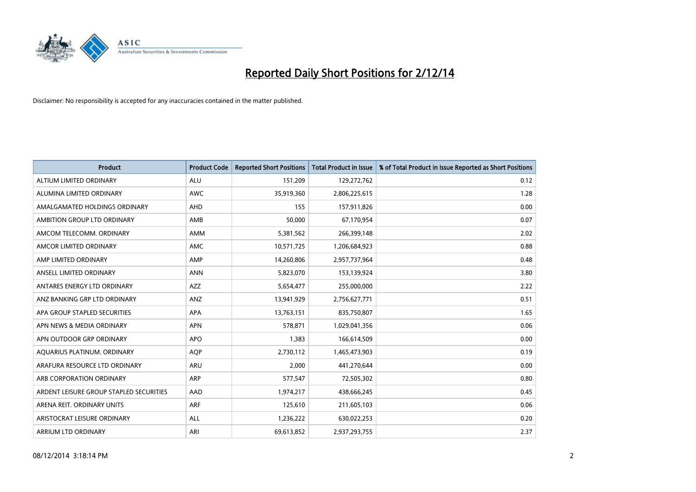

| <b>Product</b>                          | <b>Product Code</b> | <b>Reported Short Positions</b> | <b>Total Product in Issue</b> | % of Total Product in Issue Reported as Short Positions |
|-----------------------------------------|---------------------|---------------------------------|-------------------------------|---------------------------------------------------------|
| ALTIUM LIMITED ORDINARY                 | <b>ALU</b>          | 151,209                         | 129,272,762                   | 0.12                                                    |
| ALUMINA LIMITED ORDINARY                | AWC                 | 35,919,360                      | 2,806,225,615                 | 1.28                                                    |
| AMALGAMATED HOLDINGS ORDINARY           | AHD                 | 155                             | 157,911,826                   | 0.00                                                    |
| AMBITION GROUP LTD ORDINARY             | AMB                 | 50,000                          | 67,170,954                    | 0.07                                                    |
| AMCOM TELECOMM, ORDINARY                | AMM                 | 5,381,562                       | 266,399,148                   | 2.02                                                    |
| AMCOR LIMITED ORDINARY                  | <b>AMC</b>          | 10,571,725                      | 1,206,684,923                 | 0.88                                                    |
| AMP LIMITED ORDINARY                    | AMP                 | 14,260,806                      | 2,957,737,964                 | 0.48                                                    |
| ANSELL LIMITED ORDINARY                 | <b>ANN</b>          | 5,823,070                       | 153,139,924                   | 3.80                                                    |
| ANTARES ENERGY LTD ORDINARY             | <b>AZZ</b>          | 5,654,477                       | 255,000,000                   | 2.22                                                    |
| ANZ BANKING GRP LTD ORDINARY            | ANZ                 | 13,941,929                      | 2,756,627,771                 | 0.51                                                    |
| APA GROUP STAPLED SECURITIES            | APA                 | 13,763,151                      | 835,750,807                   | 1.65                                                    |
| APN NEWS & MEDIA ORDINARY               | <b>APN</b>          | 578,871                         | 1,029,041,356                 | 0.06                                                    |
| APN OUTDOOR GRP ORDINARY                | <b>APO</b>          | 1,383                           | 166,614,509                   | 0.00                                                    |
| AQUARIUS PLATINUM. ORDINARY             | <b>AOP</b>          | 2,730,112                       | 1,465,473,903                 | 0.19                                                    |
| ARAFURA RESOURCE LTD ORDINARY           | <b>ARU</b>          | 2,000                           | 441,270,644                   | 0.00                                                    |
| ARB CORPORATION ORDINARY                | ARP                 | 577,547                         | 72,505,302                    | 0.80                                                    |
| ARDENT LEISURE GROUP STAPLED SECURITIES | AAD                 | 1,974,217                       | 438,666,245                   | 0.45                                                    |
| ARENA REIT. ORDINARY UNITS              | <b>ARF</b>          | 125,610                         | 211,605,103                   | 0.06                                                    |
| ARISTOCRAT LEISURE ORDINARY             | ALL                 | 1,236,222                       | 630,022,253                   | 0.20                                                    |
| ARRIUM LTD ORDINARY                     | ARI                 | 69,613,852                      | 2,937,293,755                 | 2.37                                                    |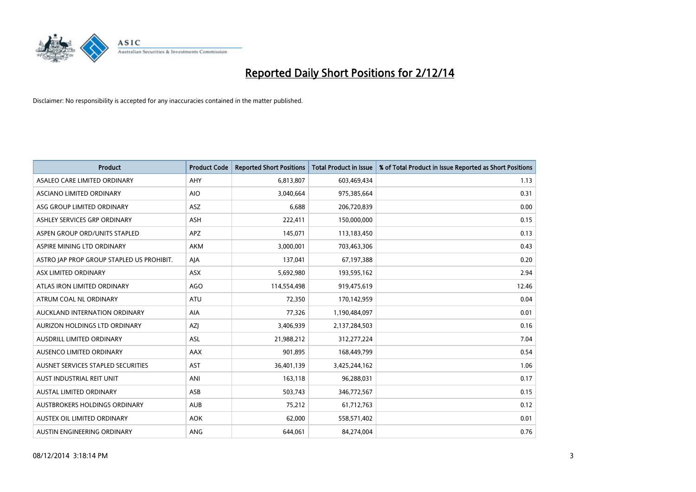

| <b>Product</b>                            | <b>Product Code</b> | <b>Reported Short Positions</b> | <b>Total Product in Issue</b> | % of Total Product in Issue Reported as Short Positions |
|-------------------------------------------|---------------------|---------------------------------|-------------------------------|---------------------------------------------------------|
| ASALEO CARE LIMITED ORDINARY              | AHY                 | 6,813,807                       | 603,469,434                   | 1.13                                                    |
| ASCIANO LIMITED ORDINARY                  | <b>AIO</b>          | 3,040,664                       | 975,385,664                   | 0.31                                                    |
| ASG GROUP LIMITED ORDINARY                | ASZ                 | 6,688                           | 206,720,839                   | 0.00                                                    |
| ASHLEY SERVICES GRP ORDINARY              | <b>ASH</b>          | 222,411                         | 150,000,000                   | 0.15                                                    |
| ASPEN GROUP ORD/UNITS STAPLED             | <b>APZ</b>          | 145,071                         | 113,183,450                   | 0.13                                                    |
| ASPIRE MINING LTD ORDINARY                | <b>AKM</b>          | 3,000,001                       | 703,463,306                   | 0.43                                                    |
| ASTRO JAP PROP GROUP STAPLED US PROHIBIT. | AJA                 | 137,041                         | 67,197,388                    | 0.20                                                    |
| ASX LIMITED ORDINARY                      | ASX                 | 5,692,980                       | 193,595,162                   | 2.94                                                    |
| ATLAS IRON LIMITED ORDINARY               | AGO                 | 114,554,498                     | 919,475,619                   | 12.46                                                   |
| ATRUM COAL NL ORDINARY                    | <b>ATU</b>          | 72,350                          | 170,142,959                   | 0.04                                                    |
| AUCKLAND INTERNATION ORDINARY             | AIA                 | 77,326                          | 1,190,484,097                 | 0.01                                                    |
| AURIZON HOLDINGS LTD ORDINARY             | AZJ                 | 3,406,939                       | 2,137,284,503                 | 0.16                                                    |
| AUSDRILL LIMITED ORDINARY                 | ASL                 | 21,988,212                      | 312,277,224                   | 7.04                                                    |
| AUSENCO LIMITED ORDINARY                  | AAX                 | 901,895                         | 168,449,799                   | 0.54                                                    |
| AUSNET SERVICES STAPLED SECURITIES        | <b>AST</b>          | 36,401,139                      | 3,425,244,162                 | 1.06                                                    |
| AUST INDUSTRIAL REIT UNIT                 | ANI                 | 163,118                         | 96,288,031                    | 0.17                                                    |
| AUSTAL LIMITED ORDINARY                   | ASB                 | 503,743                         | 346,772,567                   | 0.15                                                    |
| AUSTBROKERS HOLDINGS ORDINARY             | <b>AUB</b>          | 75,212                          | 61,712,763                    | 0.12                                                    |
| AUSTEX OIL LIMITED ORDINARY               | <b>AOK</b>          | 62,000                          | 558,571,402                   | 0.01                                                    |
| AUSTIN ENGINEERING ORDINARY               | <b>ANG</b>          | 644,061                         | 84,274,004                    | 0.76                                                    |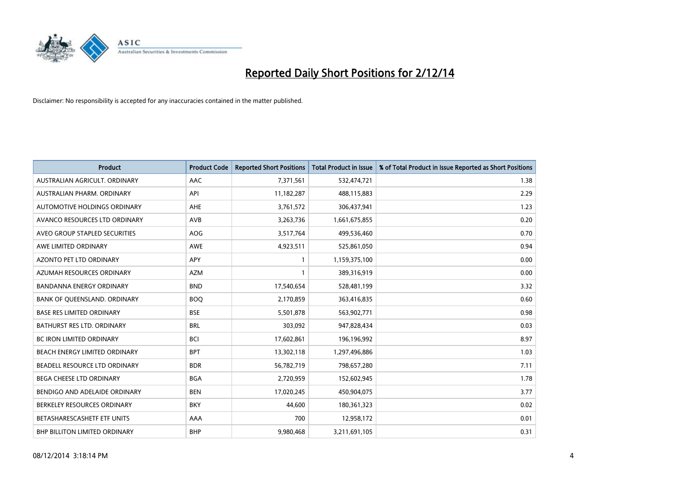

| <b>Product</b>                   | <b>Product Code</b> | <b>Reported Short Positions</b> | <b>Total Product in Issue</b> | % of Total Product in Issue Reported as Short Positions |
|----------------------------------|---------------------|---------------------------------|-------------------------------|---------------------------------------------------------|
| AUSTRALIAN AGRICULT, ORDINARY    | AAC                 | 7,371,561                       | 532,474,721                   | 1.38                                                    |
| AUSTRALIAN PHARM. ORDINARY       | API                 | 11,182,287                      | 488,115,883                   | 2.29                                                    |
| AUTOMOTIVE HOLDINGS ORDINARY     | AHE                 | 3,761,572                       | 306,437,941                   | 1.23                                                    |
| AVANCO RESOURCES LTD ORDINARY    | AVB                 | 3,263,736                       | 1,661,675,855                 | 0.20                                                    |
| AVEO GROUP STAPLED SECURITIES    | AOG                 | 3,517,764                       | 499,536,460                   | 0.70                                                    |
| AWE LIMITED ORDINARY             | <b>AWE</b>          | 4,923,511                       | 525,861,050                   | 0.94                                                    |
| AZONTO PET LTD ORDINARY          | <b>APY</b>          | $\mathbf{1}$                    | 1,159,375,100                 | 0.00                                                    |
| AZUMAH RESOURCES ORDINARY        | <b>AZM</b>          | $\mathbf{1}$                    | 389,316,919                   | 0.00                                                    |
| <b>BANDANNA ENERGY ORDINARY</b>  | <b>BND</b>          | 17,540,654                      | 528,481,199                   | 3.32                                                    |
| BANK OF QUEENSLAND. ORDINARY     | <b>BOQ</b>          | 2,170,859                       | 363,416,835                   | 0.60                                                    |
| <b>BASE RES LIMITED ORDINARY</b> | <b>BSE</b>          | 5,501,878                       | 563,902,771                   | 0.98                                                    |
| BATHURST RES LTD. ORDINARY       | <b>BRL</b>          | 303,092                         | 947,828,434                   | 0.03                                                    |
| <b>BC IRON LIMITED ORDINARY</b>  | <b>BCI</b>          | 17,602,861                      | 196,196,992                   | 8.97                                                    |
| BEACH ENERGY LIMITED ORDINARY    | <b>BPT</b>          | 13,302,118                      | 1,297,496,886                 | 1.03                                                    |
| BEADELL RESOURCE LTD ORDINARY    | <b>BDR</b>          | 56,782,719                      | 798,657,280                   | 7.11                                                    |
| BEGA CHEESE LTD ORDINARY         | <b>BGA</b>          | 2,720,959                       | 152,602,945                   | 1.78                                                    |
| BENDIGO AND ADELAIDE ORDINARY    | <b>BEN</b>          | 17,020,245                      | 450,904,075                   | 3.77                                                    |
| BERKELEY RESOURCES ORDINARY      | <b>BKY</b>          | 44,600                          | 180,361,323                   | 0.02                                                    |
| BETASHARESCASHETF ETF UNITS      | AAA                 | 700                             | 12,958,172                    | 0.01                                                    |
| BHP BILLITON LIMITED ORDINARY    | <b>BHP</b>          | 9,980,468                       | 3,211,691,105                 | 0.31                                                    |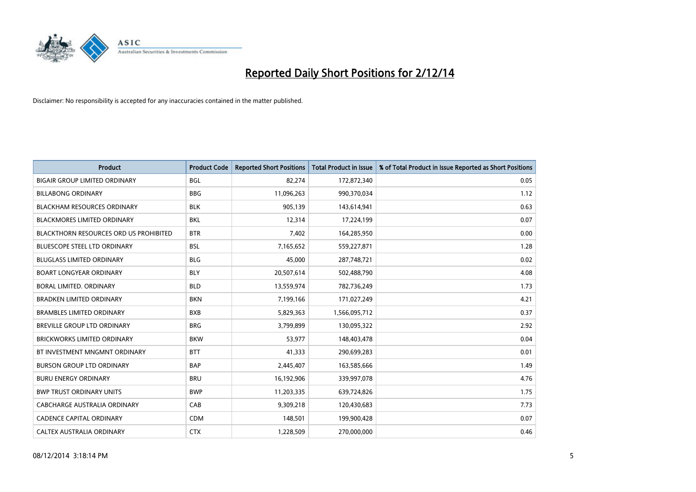

| <b>Product</b>                                | <b>Product Code</b> | <b>Reported Short Positions</b> | <b>Total Product in Issue</b> | % of Total Product in Issue Reported as Short Positions |
|-----------------------------------------------|---------------------|---------------------------------|-------------------------------|---------------------------------------------------------|
| <b>BIGAIR GROUP LIMITED ORDINARY</b>          | <b>BGL</b>          | 82,274                          | 172,872,340                   | 0.05                                                    |
| <b>BILLABONG ORDINARY</b>                     | <b>BBG</b>          | 11,096,263                      | 990,370,034                   | 1.12                                                    |
| <b>BLACKHAM RESOURCES ORDINARY</b>            | <b>BLK</b>          | 905,139                         | 143,614,941                   | 0.63                                                    |
| <b>BLACKMORES LIMITED ORDINARY</b>            | <b>BKL</b>          | 12,314                          | 17,224,199                    | 0.07                                                    |
| <b>BLACKTHORN RESOURCES ORD US PROHIBITED</b> | <b>BTR</b>          | 7,402                           | 164,285,950                   | 0.00                                                    |
| <b>BLUESCOPE STEEL LTD ORDINARY</b>           | <b>BSL</b>          | 7,165,652                       | 559,227,871                   | 1.28                                                    |
| <b>BLUGLASS LIMITED ORDINARY</b>              | <b>BLG</b>          | 45,000                          | 287,748,721                   | 0.02                                                    |
| <b>BOART LONGYEAR ORDINARY</b>                | <b>BLY</b>          | 20,507,614                      | 502,488,790                   | 4.08                                                    |
| <b>BORAL LIMITED, ORDINARY</b>                | <b>BLD</b>          | 13,559,974                      | 782,736,249                   | 1.73                                                    |
| <b>BRADKEN LIMITED ORDINARY</b>               | <b>BKN</b>          | 7,199,166                       | 171,027,249                   | 4.21                                                    |
| <b>BRAMBLES LIMITED ORDINARY</b>              | <b>BXB</b>          | 5,829,363                       | 1,566,095,712                 | 0.37                                                    |
| BREVILLE GROUP LTD ORDINARY                   | <b>BRG</b>          | 3,799,899                       | 130,095,322                   | 2.92                                                    |
| <b>BRICKWORKS LIMITED ORDINARY</b>            | <b>BKW</b>          | 53,977                          | 148,403,478                   | 0.04                                                    |
| BT INVESTMENT MNGMNT ORDINARY                 | <b>BTT</b>          | 41,333                          | 290,699,283                   | 0.01                                                    |
| <b>BURSON GROUP LTD ORDINARY</b>              | <b>BAP</b>          | 2,445,407                       | 163,585,666                   | 1.49                                                    |
| <b>BURU ENERGY ORDINARY</b>                   | <b>BRU</b>          | 16,192,906                      | 339,997,078                   | 4.76                                                    |
| <b>BWP TRUST ORDINARY UNITS</b>               | <b>BWP</b>          | 11,203,335                      | 639,724,826                   | 1.75                                                    |
| CABCHARGE AUSTRALIA ORDINARY                  | CAB                 | 9,309,218                       | 120,430,683                   | 7.73                                                    |
| CADENCE CAPITAL ORDINARY                      | <b>CDM</b>          | 148,501                         | 199,900,428                   | 0.07                                                    |
| CALTEX AUSTRALIA ORDINARY                     | <b>CTX</b>          | 1,228,509                       | 270,000,000                   | 0.46                                                    |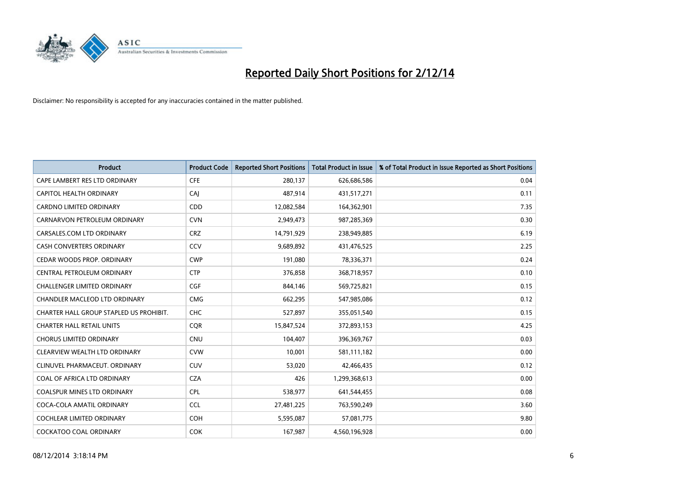

| <b>Product</b>                          | <b>Product Code</b> | <b>Reported Short Positions</b> | <b>Total Product in Issue</b> | % of Total Product in Issue Reported as Short Positions |
|-----------------------------------------|---------------------|---------------------------------|-------------------------------|---------------------------------------------------------|
| CAPE LAMBERT RES LTD ORDINARY           | <b>CFE</b>          | 280,137                         | 626,686,586                   | 0.04                                                    |
| CAPITOL HEALTH ORDINARY                 | CAI                 | 487,914                         | 431,517,271                   | 0.11                                                    |
| <b>CARDNO LIMITED ORDINARY</b>          | CDD                 | 12,082,584                      | 164,362,901                   | 7.35                                                    |
| CARNARVON PETROLEUM ORDINARY            | <b>CVN</b>          | 2,949,473                       | 987,285,369                   | 0.30                                                    |
| CARSALES.COM LTD ORDINARY               | <b>CRZ</b>          | 14,791,929                      | 238,949,885                   | 6.19                                                    |
| <b>CASH CONVERTERS ORDINARY</b>         | CCV                 | 9,689,892                       | 431,476,525                   | 2.25                                                    |
| CEDAR WOODS PROP. ORDINARY              | <b>CWP</b>          | 191,080                         | 78,336,371                    | 0.24                                                    |
| CENTRAL PETROLEUM ORDINARY              | <b>CTP</b>          | 376,858                         | 368,718,957                   | 0.10                                                    |
| <b>CHALLENGER LIMITED ORDINARY</b>      | <b>CGF</b>          | 844,146                         | 569,725,821                   | 0.15                                                    |
| CHANDLER MACLEOD LTD ORDINARY           | <b>CMG</b>          | 662,295                         | 547,985,086                   | 0.12                                                    |
| CHARTER HALL GROUP STAPLED US PROHIBIT. | <b>CHC</b>          | 527,897                         | 355,051,540                   | 0.15                                                    |
| <b>CHARTER HALL RETAIL UNITS</b>        | <b>CQR</b>          | 15,847,524                      | 372,893,153                   | 4.25                                                    |
| <b>CHORUS LIMITED ORDINARY</b>          | <b>CNU</b>          | 104,407                         | 396,369,767                   | 0.03                                                    |
| CLEARVIEW WEALTH LTD ORDINARY           | <b>CVW</b>          | 10,001                          | 581,111,182                   | 0.00                                                    |
| CLINUVEL PHARMACEUT, ORDINARY           | <b>CUV</b>          | 53,020                          | 42,466,435                    | 0.12                                                    |
| COAL OF AFRICA LTD ORDINARY             | <b>CZA</b>          | 426                             | 1,299,368,613                 | 0.00                                                    |
| COALSPUR MINES LTD ORDINARY             | <b>CPL</b>          | 538,977                         | 641,544,455                   | 0.08                                                    |
| COCA-COLA AMATIL ORDINARY               | <b>CCL</b>          | 27,481,225                      | 763,590,249                   | 3.60                                                    |
| <b>COCHLEAR LIMITED ORDINARY</b>        | <b>COH</b>          | 5,595,087                       | 57,081,775                    | 9.80                                                    |
| COCKATOO COAL ORDINARY                  | <b>COK</b>          | 167,987                         | 4,560,196,928                 | 0.00                                                    |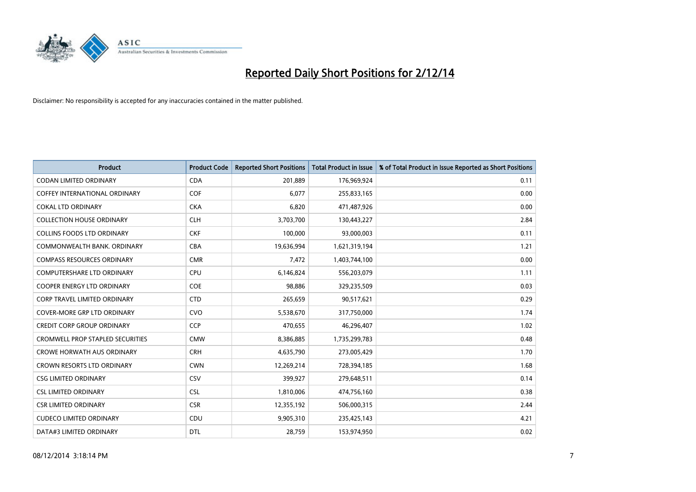

| <b>Product</b>                          | <b>Product Code</b> | <b>Reported Short Positions</b> | <b>Total Product in Issue</b> | % of Total Product in Issue Reported as Short Positions |
|-----------------------------------------|---------------------|---------------------------------|-------------------------------|---------------------------------------------------------|
| <b>CODAN LIMITED ORDINARY</b>           | <b>CDA</b>          | 201,889                         | 176,969,924                   | 0.11                                                    |
| COFFEY INTERNATIONAL ORDINARY           | <b>COF</b>          | 6,077                           | 255,833,165                   | 0.00                                                    |
| <b>COKAL LTD ORDINARY</b>               | <b>CKA</b>          | 6,820                           | 471,487,926                   | 0.00                                                    |
| <b>COLLECTION HOUSE ORDINARY</b>        | <b>CLH</b>          | 3,703,700                       | 130,443,227                   | 2.84                                                    |
| <b>COLLINS FOODS LTD ORDINARY</b>       | <b>CKF</b>          | 100,000                         | 93,000,003                    | 0.11                                                    |
| COMMONWEALTH BANK, ORDINARY             | <b>CBA</b>          | 19,636,994                      | 1,621,319,194                 | 1.21                                                    |
| <b>COMPASS RESOURCES ORDINARY</b>       | <b>CMR</b>          | 7,472                           | 1,403,744,100                 | 0.00                                                    |
| <b>COMPUTERSHARE LTD ORDINARY</b>       | <b>CPU</b>          | 6,146,824                       | 556,203,079                   | 1.11                                                    |
| <b>COOPER ENERGY LTD ORDINARY</b>       | <b>COE</b>          | 98,886                          | 329,235,509                   | 0.03                                                    |
| <b>CORP TRAVEL LIMITED ORDINARY</b>     | <b>CTD</b>          | 265,659                         | 90,517,621                    | 0.29                                                    |
| <b>COVER-MORE GRP LTD ORDINARY</b>      | <b>CVO</b>          | 5,538,670                       | 317,750,000                   | 1.74                                                    |
| <b>CREDIT CORP GROUP ORDINARY</b>       | <b>CCP</b>          | 470,655                         | 46,296,407                    | 1.02                                                    |
| <b>CROMWELL PROP STAPLED SECURITIES</b> | <b>CMW</b>          | 8,386,885                       | 1,735,299,783                 | 0.48                                                    |
| <b>CROWE HORWATH AUS ORDINARY</b>       | <b>CRH</b>          | 4,635,790                       | 273,005,429                   | 1.70                                                    |
| <b>CROWN RESORTS LTD ORDINARY</b>       | <b>CWN</b>          | 12,269,214                      | 728,394,185                   | 1.68                                                    |
| <b>CSG LIMITED ORDINARY</b>             | CSV                 | 399,927                         | 279,648,511                   | 0.14                                                    |
| <b>CSL LIMITED ORDINARY</b>             | <b>CSL</b>          | 1,810,006                       | 474,756,160                   | 0.38                                                    |
| <b>CSR LIMITED ORDINARY</b>             | <b>CSR</b>          | 12,355,192                      | 506,000,315                   | 2.44                                                    |
| <b>CUDECO LIMITED ORDINARY</b>          | CDU                 | 9,905,310                       | 235,425,143                   | 4.21                                                    |
| DATA#3 LIMITED ORDINARY                 | <b>DTL</b>          | 28,759                          | 153,974,950                   | 0.02                                                    |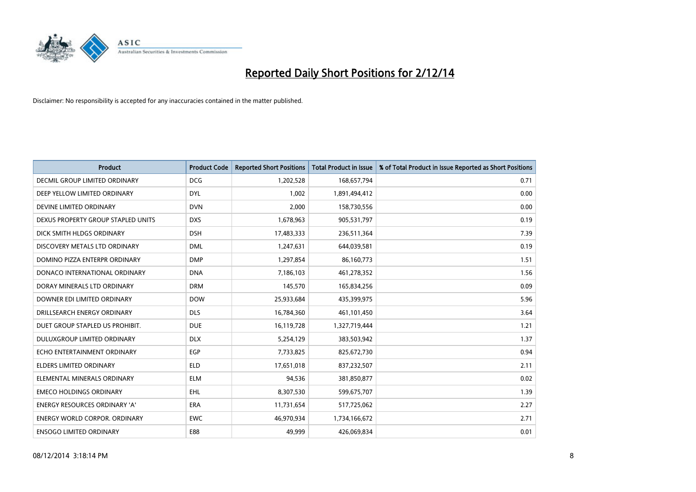

| <b>Product</b>                       | <b>Product Code</b> | <b>Reported Short Positions</b> | <b>Total Product in Issue</b> | % of Total Product in Issue Reported as Short Positions |
|--------------------------------------|---------------------|---------------------------------|-------------------------------|---------------------------------------------------------|
| <b>DECMIL GROUP LIMITED ORDINARY</b> | <b>DCG</b>          | 1,202,528                       | 168,657,794                   | 0.71                                                    |
| DEEP YELLOW LIMITED ORDINARY         | <b>DYL</b>          | 1,002                           | 1,891,494,412                 | 0.00                                                    |
| DEVINE LIMITED ORDINARY              | <b>DVN</b>          | 2,000                           | 158,730,556                   | 0.00                                                    |
| DEXUS PROPERTY GROUP STAPLED UNITS   | <b>DXS</b>          | 1,678,963                       | 905,531,797                   | 0.19                                                    |
| DICK SMITH HLDGS ORDINARY            | <b>DSH</b>          | 17,483,333                      | 236,511,364                   | 7.39                                                    |
| DISCOVERY METALS LTD ORDINARY        | <b>DML</b>          | 1,247,631                       | 644,039,581                   | 0.19                                                    |
| DOMINO PIZZA ENTERPR ORDINARY        | <b>DMP</b>          | 1,297,854                       | 86,160,773                    | 1.51                                                    |
| DONACO INTERNATIONAL ORDINARY        | <b>DNA</b>          | 7,186,103                       | 461,278,352                   | 1.56                                                    |
| DORAY MINERALS LTD ORDINARY          | <b>DRM</b>          | 145,570                         | 165,834,256                   | 0.09                                                    |
| DOWNER EDI LIMITED ORDINARY          | <b>DOW</b>          | 25,933,684                      | 435,399,975                   | 5.96                                                    |
| DRILLSEARCH ENERGY ORDINARY          | <b>DLS</b>          | 16,784,360                      | 461,101,450                   | 3.64                                                    |
| DUET GROUP STAPLED US PROHIBIT.      | <b>DUE</b>          | 16,119,728                      | 1,327,719,444                 | 1.21                                                    |
| DULUXGROUP LIMITED ORDINARY          | <b>DLX</b>          | 5,254,129                       | 383,503,942                   | 1.37                                                    |
| ECHO ENTERTAINMENT ORDINARY          | <b>EGP</b>          | 7,733,825                       | 825,672,730                   | 0.94                                                    |
| <b>ELDERS LIMITED ORDINARY</b>       | <b>ELD</b>          | 17,651,018                      | 837,232,507                   | 2.11                                                    |
| ELEMENTAL MINERALS ORDINARY          | <b>ELM</b>          | 94,536                          | 381,850,877                   | 0.02                                                    |
| <b>EMECO HOLDINGS ORDINARY</b>       | <b>EHL</b>          | 8,307,530                       | 599,675,707                   | 1.39                                                    |
| ENERGY RESOURCES ORDINARY 'A'        | <b>ERA</b>          | 11,731,654                      | 517,725,062                   | 2.27                                                    |
| <b>ENERGY WORLD CORPOR, ORDINARY</b> | <b>EWC</b>          | 46,970,934                      | 1,734,166,672                 | 2.71                                                    |
| <b>ENSOGO LIMITED ORDINARY</b>       | E88                 | 49,999                          | 426,069,834                   | 0.01                                                    |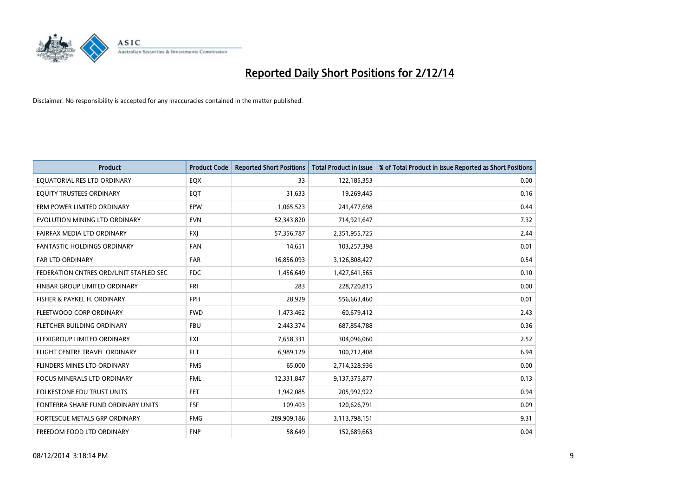

| <b>Product</b>                         | <b>Product Code</b> | <b>Reported Short Positions</b> | <b>Total Product in Issue</b> | % of Total Product in Issue Reported as Short Positions |
|----------------------------------------|---------------------|---------------------------------|-------------------------------|---------------------------------------------------------|
| EQUATORIAL RES LTD ORDINARY            | EQX                 | 33                              | 122,185,353                   | 0.00                                                    |
| EQUITY TRUSTEES ORDINARY               | EQT                 | 31,633                          | 19,269,445                    | 0.16                                                    |
| ERM POWER LIMITED ORDINARY             | <b>EPW</b>          | 1,065,523                       | 241,477,698                   | 0.44                                                    |
| EVOLUTION MINING LTD ORDINARY          | <b>EVN</b>          | 52,343,820                      | 714,921,647                   | 7.32                                                    |
| FAIRFAX MEDIA LTD ORDINARY             | <b>FXI</b>          | 57,356,787                      | 2,351,955,725                 | 2.44                                                    |
| <b>FANTASTIC HOLDINGS ORDINARY</b>     | <b>FAN</b>          | 14,651                          | 103,257,398                   | 0.01                                                    |
| <b>FAR LTD ORDINARY</b>                | <b>FAR</b>          | 16,856,093                      | 3,126,808,427                 | 0.54                                                    |
| FEDERATION CNTRES ORD/UNIT STAPLED SEC | <b>FDC</b>          | 1,456,649                       | 1,427,641,565                 | 0.10                                                    |
| FINBAR GROUP LIMITED ORDINARY          | <b>FRI</b>          | 283                             | 228,720,815                   | 0.00                                                    |
| FISHER & PAYKEL H. ORDINARY            | <b>FPH</b>          | 28,929                          | 556,663,460                   | 0.01                                                    |
| FLEETWOOD CORP ORDINARY                | <b>FWD</b>          | 1,473,462                       | 60,679,412                    | 2.43                                                    |
| FLETCHER BUILDING ORDINARY             | <b>FBU</b>          | 2,443,374                       | 687,854,788                   | 0.36                                                    |
| FLEXIGROUP LIMITED ORDINARY            | FXL                 | 7,658,331                       | 304,096,060                   | 2.52                                                    |
| FLIGHT CENTRE TRAVEL ORDINARY          | <b>FLT</b>          | 6,989,129                       | 100,712,408                   | 6.94                                                    |
| FLINDERS MINES LTD ORDINARY            | <b>FMS</b>          | 65,000                          | 2,714,328,936                 | 0.00                                                    |
| <b>FOCUS MINERALS LTD ORDINARY</b>     | <b>FML</b>          | 12,331,847                      | 9,137,375,877                 | 0.13                                                    |
| <b>FOLKESTONE EDU TRUST UNITS</b>      | <b>FET</b>          | 1,942,085                       | 205,992,922                   | 0.94                                                    |
| FONTERRA SHARE FUND ORDINARY UNITS     | <b>FSF</b>          | 109,403                         | 120,626,791                   | 0.09                                                    |
| FORTESCUE METALS GRP ORDINARY          | <b>FMG</b>          | 289,909,186                     | 3,113,798,151                 | 9.31                                                    |
| FREEDOM FOOD LTD ORDINARY              | <b>FNP</b>          | 58,649                          | 152,689,663                   | 0.04                                                    |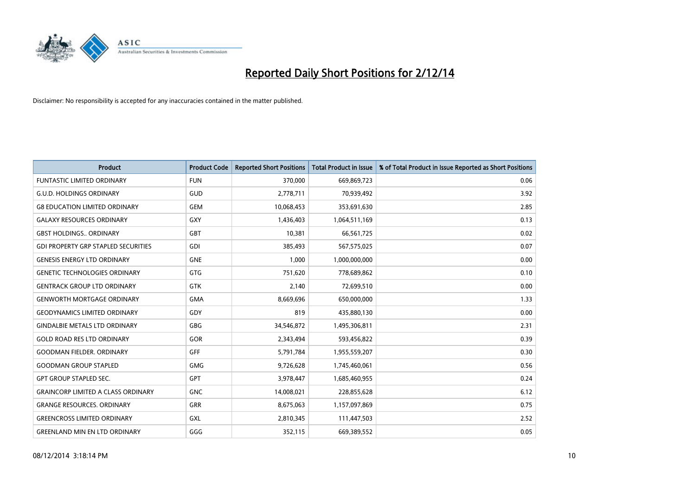

| <b>Product</b>                             | <b>Product Code</b> | <b>Reported Short Positions</b> | <b>Total Product in Issue</b> | % of Total Product in Issue Reported as Short Positions |
|--------------------------------------------|---------------------|---------------------------------|-------------------------------|---------------------------------------------------------|
| <b>FUNTASTIC LIMITED ORDINARY</b>          | <b>FUN</b>          | 370,000                         | 669,869,723                   | 0.06                                                    |
| <b>G.U.D. HOLDINGS ORDINARY</b>            | GUD                 | 2,778,711                       | 70,939,492                    | 3.92                                                    |
| <b>G8 EDUCATION LIMITED ORDINARY</b>       | <b>GEM</b>          | 10,068,453                      | 353,691,630                   | 2.85                                                    |
| <b>GALAXY RESOURCES ORDINARY</b>           | GXY                 | 1,436,403                       | 1,064,511,169                 | 0.13                                                    |
| <b>GBST HOLDINGS., ORDINARY</b>            | GBT                 | 10,381                          | 66,561,725                    | 0.02                                                    |
| <b>GDI PROPERTY GRP STAPLED SECURITIES</b> | <b>GDI</b>          | 385,493                         | 567,575,025                   | 0.07                                                    |
| <b>GENESIS ENERGY LTD ORDINARY</b>         | <b>GNE</b>          | 1,000                           | 1,000,000,000                 | 0.00                                                    |
| <b>GENETIC TECHNOLOGIES ORDINARY</b>       | GTG                 | 751,620                         | 778,689,862                   | 0.10                                                    |
| <b>GENTRACK GROUP LTD ORDINARY</b>         | <b>GTK</b>          | 2,140                           | 72,699,510                    | 0.00                                                    |
| <b>GENWORTH MORTGAGE ORDINARY</b>          | <b>GMA</b>          | 8,669,696                       | 650,000,000                   | 1.33                                                    |
| <b>GEODYNAMICS LIMITED ORDINARY</b>        | GDY                 | 819                             | 435,880,130                   | 0.00                                                    |
| <b>GINDALBIE METALS LTD ORDINARY</b>       | GBG                 | 34,546,872                      | 1,495,306,811                 | 2.31                                                    |
| <b>GOLD ROAD RES LTD ORDINARY</b>          | GOR                 | 2,343,494                       | 593,456,822                   | 0.39                                                    |
| <b>GOODMAN FIELDER, ORDINARY</b>           | GFF                 | 5,791,784                       | 1,955,559,207                 | 0.30                                                    |
| <b>GOODMAN GROUP STAPLED</b>               | <b>GMG</b>          | 9,726,628                       | 1,745,460,061                 | 0.56                                                    |
| <b>GPT GROUP STAPLED SEC.</b>              | <b>GPT</b>          | 3,978,447                       | 1,685,460,955                 | 0.24                                                    |
| <b>GRAINCORP LIMITED A CLASS ORDINARY</b>  | <b>GNC</b>          | 14,008,021                      | 228,855,628                   | 6.12                                                    |
| <b>GRANGE RESOURCES. ORDINARY</b>          | GRR                 | 8,675,063                       | 1,157,097,869                 | 0.75                                                    |
| <b>GREENCROSS LIMITED ORDINARY</b>         | <b>GXL</b>          | 2,810,345                       | 111,447,503                   | 2.52                                                    |
| <b>GREENLAND MIN EN LTD ORDINARY</b>       | GGG                 | 352,115                         | 669,389,552                   | 0.05                                                    |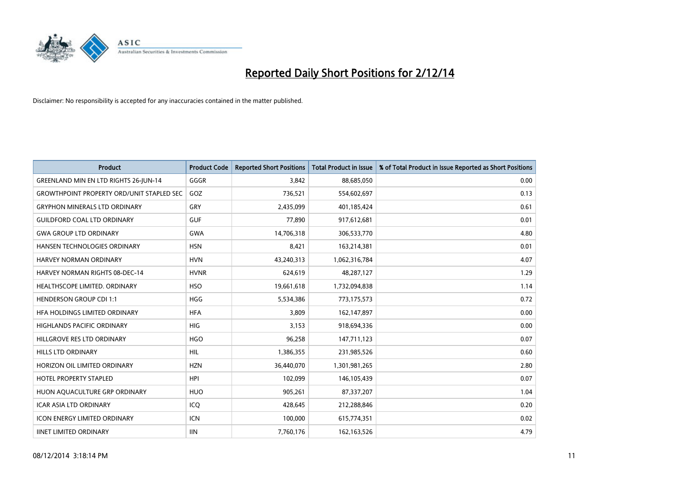

| <b>Product</b>                                   | <b>Product Code</b> | <b>Reported Short Positions</b> | <b>Total Product in Issue</b> | % of Total Product in Issue Reported as Short Positions |
|--------------------------------------------------|---------------------|---------------------------------|-------------------------------|---------------------------------------------------------|
| GREENLAND MIN EN LTD RIGHTS 26-JUN-14            | GGGR                | 3.842                           | 88,685,050                    | 0.00                                                    |
| <b>GROWTHPOINT PROPERTY ORD/UNIT STAPLED SEC</b> | GOZ                 | 736,521                         | 554,602,697                   | 0.13                                                    |
| <b>GRYPHON MINERALS LTD ORDINARY</b>             | GRY                 | 2,435,099                       | 401,185,424                   | 0.61                                                    |
| <b>GUILDFORD COAL LTD ORDINARY</b>               | <b>GUF</b>          | 77,890                          | 917,612,681                   | 0.01                                                    |
| <b>GWA GROUP LTD ORDINARY</b>                    | <b>GWA</b>          | 14,706,318                      | 306,533,770                   | 4.80                                                    |
| HANSEN TECHNOLOGIES ORDINARY                     | <b>HSN</b>          | 8,421                           | 163,214,381                   | 0.01                                                    |
| <b>HARVEY NORMAN ORDINARY</b>                    | <b>HVN</b>          | 43,240,313                      | 1,062,316,784                 | 4.07                                                    |
| <b>HARVEY NORMAN RIGHTS 08-DEC-14</b>            | <b>HVNR</b>         | 624,619                         | 48,287,127                    | 1.29                                                    |
| HEALTHSCOPE LIMITED. ORDINARY                    | <b>HSO</b>          | 19,661,618                      | 1,732,094,838                 | 1.14                                                    |
| <b>HENDERSON GROUP CDI 1:1</b>                   | <b>HGG</b>          | 5,534,386                       | 773,175,573                   | 0.72                                                    |
| HFA HOLDINGS LIMITED ORDINARY                    | <b>HFA</b>          | 3,809                           | 162,147,897                   | 0.00                                                    |
| <b>HIGHLANDS PACIFIC ORDINARY</b>                | <b>HIG</b>          | 3,153                           | 918,694,336                   | 0.00                                                    |
| HILLGROVE RES LTD ORDINARY                       | <b>HGO</b>          | 96,258                          | 147,711,123                   | 0.07                                                    |
| <b>HILLS LTD ORDINARY</b>                        | HIL                 | 1,386,355                       | 231,985,526                   | 0.60                                                    |
| HORIZON OIL LIMITED ORDINARY                     | <b>HZN</b>          | 36,440,070                      | 1,301,981,265                 | 2.80                                                    |
| HOTEL PROPERTY STAPLED                           | <b>HPI</b>          | 102,099                         | 146, 105, 439                 | 0.07                                                    |
| HUON AQUACULTURE GRP ORDINARY                    | <b>HUO</b>          | 905,261                         | 87,337,207                    | 1.04                                                    |
| <b>ICAR ASIA LTD ORDINARY</b>                    | ICQ                 | 428,645                         | 212,288,846                   | 0.20                                                    |
| <b>ICON ENERGY LIMITED ORDINARY</b>              | ICN                 | 100,000                         | 615,774,351                   | 0.02                                                    |
| <b>IINET LIMITED ORDINARY</b>                    | <b>IIN</b>          | 7,760,176                       | 162, 163, 526                 | 4.79                                                    |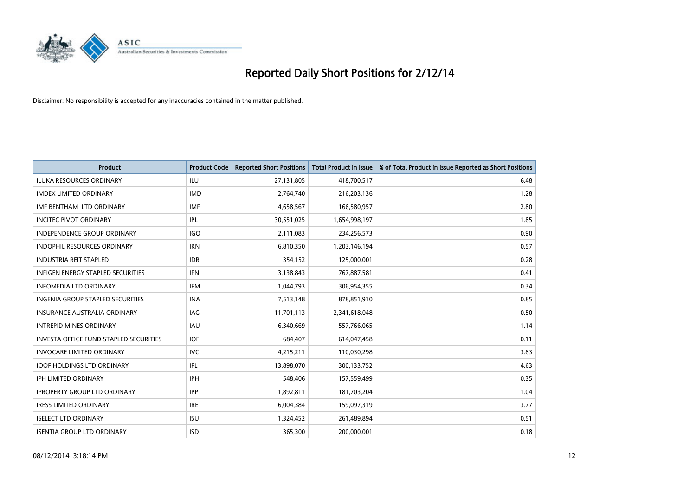

| <b>Product</b>                                | <b>Product Code</b> | <b>Reported Short Positions</b> | <b>Total Product in Issue</b> | % of Total Product in Issue Reported as Short Positions |
|-----------------------------------------------|---------------------|---------------------------------|-------------------------------|---------------------------------------------------------|
| <b>ILUKA RESOURCES ORDINARY</b>               | ILU                 | 27,131,805                      | 418,700,517                   | 6.48                                                    |
| <b>IMDEX LIMITED ORDINARY</b>                 | <b>IMD</b>          | 2,764,740                       | 216,203,136                   | 1.28                                                    |
| IMF BENTHAM LTD ORDINARY                      | <b>IMF</b>          | 4,658,567                       | 166,580,957                   | 2.80                                                    |
| <b>INCITEC PIVOT ORDINARY</b>                 | IPL                 | 30,551,025                      | 1,654,998,197                 | 1.85                                                    |
| <b>INDEPENDENCE GROUP ORDINARY</b>            | <b>IGO</b>          | 2,111,083                       | 234,256,573                   | 0.90                                                    |
| <b>INDOPHIL RESOURCES ORDINARY</b>            | <b>IRN</b>          | 6,810,350                       | 1,203,146,194                 | 0.57                                                    |
| <b>INDUSTRIA REIT STAPLED</b>                 | <b>IDR</b>          | 354,152                         | 125,000,001                   | 0.28                                                    |
| <b>INFIGEN ENERGY STAPLED SECURITIES</b>      | <b>IFN</b>          | 3,138,843                       | 767,887,581                   | 0.41                                                    |
| INFOMEDIA LTD ORDINARY                        | <b>IFM</b>          | 1,044,793                       | 306,954,355                   | 0.34                                                    |
| <b>INGENIA GROUP STAPLED SECURITIES</b>       | <b>INA</b>          | 7,513,148                       | 878,851,910                   | 0.85                                                    |
| <b>INSURANCE AUSTRALIA ORDINARY</b>           | IAG                 | 11,701,113                      | 2,341,618,048                 | 0.50                                                    |
| <b>INTREPID MINES ORDINARY</b>                | IAU                 | 6,340,669                       | 557,766,065                   | 1.14                                                    |
| <b>INVESTA OFFICE FUND STAPLED SECURITIES</b> | <b>IOF</b>          | 684.407                         | 614,047,458                   | 0.11                                                    |
| <b>INVOCARE LIMITED ORDINARY</b>              | <b>IVC</b>          | 4,215,211                       | 110,030,298                   | 3.83                                                    |
| <b>IOOF HOLDINGS LTD ORDINARY</b>             | IFL                 | 13,898,070                      | 300,133,752                   | 4.63                                                    |
| <b>IPH LIMITED ORDINARY</b>                   | <b>IPH</b>          | 548,406                         | 157,559,499                   | 0.35                                                    |
| <b>IPROPERTY GROUP LTD ORDINARY</b>           | <b>IPP</b>          | 1,892,811                       | 181,703,204                   | 1.04                                                    |
| <b>IRESS LIMITED ORDINARY</b>                 | <b>IRE</b>          | 6,004,384                       | 159,097,319                   | 3.77                                                    |
| <b>ISELECT LTD ORDINARY</b>                   | <b>ISU</b>          | 1,324,452                       | 261,489,894                   | 0.51                                                    |
| <b>ISENTIA GROUP LTD ORDINARY</b>             | <b>ISD</b>          | 365,300                         | 200,000,001                   | 0.18                                                    |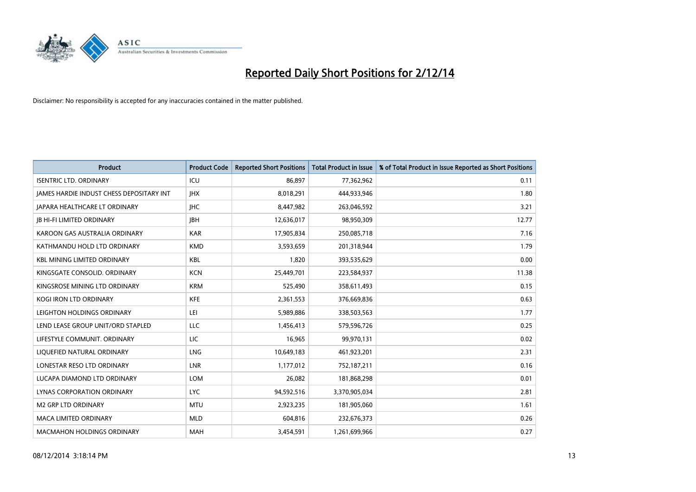

| <b>Product</b>                           | <b>Product Code</b> | <b>Reported Short Positions</b> | <b>Total Product in Issue</b> | % of Total Product in Issue Reported as Short Positions |
|------------------------------------------|---------------------|---------------------------------|-------------------------------|---------------------------------------------------------|
| <b>ISENTRIC LTD. ORDINARY</b>            | ICU                 | 86,897                          | 77,362,962                    | 0.11                                                    |
| JAMES HARDIE INDUST CHESS DEPOSITARY INT | <b>IHX</b>          | 8,018,291                       | 444,933,946                   | 1.80                                                    |
| JAPARA HEALTHCARE LT ORDINARY            | <b>IHC</b>          | 8,447,982                       | 263,046,592                   | 3.21                                                    |
| <b>JB HI-FI LIMITED ORDINARY</b>         | <b>JBH</b>          | 12,636,017                      | 98,950,309                    | 12.77                                                   |
| KAROON GAS AUSTRALIA ORDINARY            | <b>KAR</b>          | 17,905,834                      | 250,085,718                   | 7.16                                                    |
| KATHMANDU HOLD LTD ORDINARY              | <b>KMD</b>          | 3,593,659                       | 201,318,944                   | 1.79                                                    |
| <b>KBL MINING LIMITED ORDINARY</b>       | <b>KBL</b>          | 1.820                           | 393,535,629                   | 0.00                                                    |
| KINGSGATE CONSOLID. ORDINARY             | <b>KCN</b>          | 25,449,701                      | 223,584,937                   | 11.38                                                   |
| KINGSROSE MINING LTD ORDINARY            | <b>KRM</b>          | 525,490                         | 358,611,493                   | 0.15                                                    |
| <b>KOGI IRON LTD ORDINARY</b>            | <b>KFE</b>          | 2,361,553                       | 376,669,836                   | 0.63                                                    |
| LEIGHTON HOLDINGS ORDINARY               | LEI                 | 5,989,886                       | 338,503,563                   | 1.77                                                    |
| LEND LEASE GROUP UNIT/ORD STAPLED        | LLC                 | 1,456,413                       | 579,596,726                   | 0.25                                                    |
| LIFESTYLE COMMUNIT, ORDINARY             | LIC                 | 16,965                          | 99,970,131                    | 0.02                                                    |
| LIQUEFIED NATURAL ORDINARY               | LNG                 | 10,649,183                      | 461,923,201                   | 2.31                                                    |
| LONESTAR RESO LTD ORDINARY               | LNR                 | 1,177,012                       | 752,187,211                   | 0.16                                                    |
| LUCAPA DIAMOND LTD ORDINARY              | <b>LOM</b>          | 26,082                          | 181,868,298                   | 0.01                                                    |
| LYNAS CORPORATION ORDINARY               | <b>LYC</b>          | 94,592,516                      | 3,370,905,034                 | 2.81                                                    |
| <b>M2 GRP LTD ORDINARY</b>               | <b>MTU</b>          | 2,923,235                       | 181,905,060                   | 1.61                                                    |
| <b>MACA LIMITED ORDINARY</b>             | <b>MLD</b>          | 604,816                         | 232,676,373                   | 0.26                                                    |
| <b>MACMAHON HOLDINGS ORDINARY</b>        | <b>MAH</b>          | 3,454,591                       | 1,261,699,966                 | 0.27                                                    |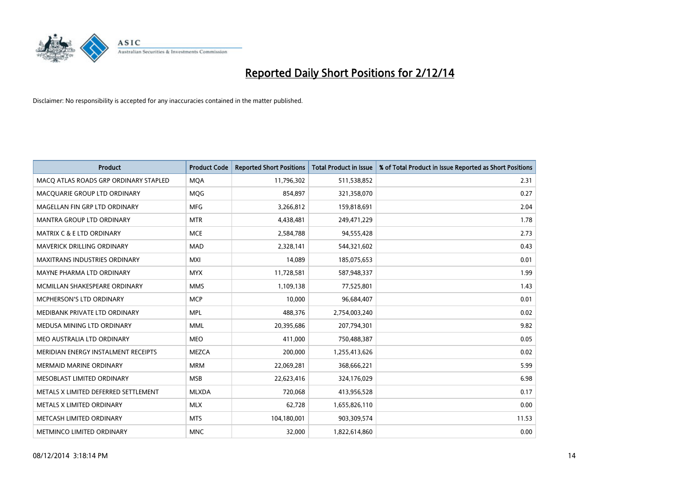

| <b>Product</b>                        | <b>Product Code</b> | <b>Reported Short Positions</b> | <b>Total Product in Issue</b> | % of Total Product in Issue Reported as Short Positions |
|---------------------------------------|---------------------|---------------------------------|-------------------------------|---------------------------------------------------------|
| MACO ATLAS ROADS GRP ORDINARY STAPLED | <b>MQA</b>          | 11,796,302                      | 511,538,852                   | 2.31                                                    |
| MACQUARIE GROUP LTD ORDINARY          | <b>MQG</b>          | 854,897                         | 321,358,070                   | 0.27                                                    |
| MAGELLAN FIN GRP LTD ORDINARY         | <b>MFG</b>          | 3,266,812                       | 159,818,691                   | 2.04                                                    |
| <b>MANTRA GROUP LTD ORDINARY</b>      | <b>MTR</b>          | 4,438,481                       | 249,471,229                   | 1.78                                                    |
| MATRIX C & E LTD ORDINARY             | <b>MCE</b>          | 2,584,788                       | 94,555,428                    | 2.73                                                    |
| <b>MAVERICK DRILLING ORDINARY</b>     | <b>MAD</b>          | 2,328,141                       | 544,321,602                   | 0.43                                                    |
| MAXITRANS INDUSTRIES ORDINARY         | <b>MXI</b>          | 14,089                          | 185,075,653                   | 0.01                                                    |
| MAYNE PHARMA LTD ORDINARY             | <b>MYX</b>          | 11,728,581                      | 587,948,337                   | 1.99                                                    |
| MCMILLAN SHAKESPEARE ORDINARY         | <b>MMS</b>          | 1,109,138                       | 77,525,801                    | 1.43                                                    |
| <b>MCPHERSON'S LTD ORDINARY</b>       | <b>MCP</b>          | 10,000                          | 96,684,407                    | 0.01                                                    |
| MEDIBANK PRIVATE LTD ORDINARY         | <b>MPL</b>          | 488,376                         | 2,754,003,240                 | 0.02                                                    |
| MEDUSA MINING LTD ORDINARY            | <b>MML</b>          | 20,395,686                      | 207,794,301                   | 9.82                                                    |
| MEO AUSTRALIA LTD ORDINARY            | <b>MEO</b>          | 411,000                         | 750,488,387                   | 0.05                                                    |
| MERIDIAN ENERGY INSTALMENT RECEIPTS   | <b>MEZCA</b>        | 200,000                         | 1,255,413,626                 | 0.02                                                    |
| <b>MERMAID MARINE ORDINARY</b>        | <b>MRM</b>          | 22,069,281                      | 368,666,221                   | 5.99                                                    |
| MESOBLAST LIMITED ORDINARY            | <b>MSB</b>          | 22,623,416                      | 324,176,029                   | 6.98                                                    |
| METALS X LIMITED DEFERRED SETTLEMENT  | <b>MLXDA</b>        | 720,068                         | 413,956,528                   | 0.17                                                    |
| METALS X LIMITED ORDINARY             | <b>MLX</b>          | 62,728                          | 1,655,826,110                 | 0.00                                                    |
| METCASH LIMITED ORDINARY              | <b>MTS</b>          | 104,180,001                     | 903,309,574                   | 11.53                                                   |
| METMINCO LIMITED ORDINARY             | <b>MNC</b>          | 32,000                          | 1,822,614,860                 | 0.00                                                    |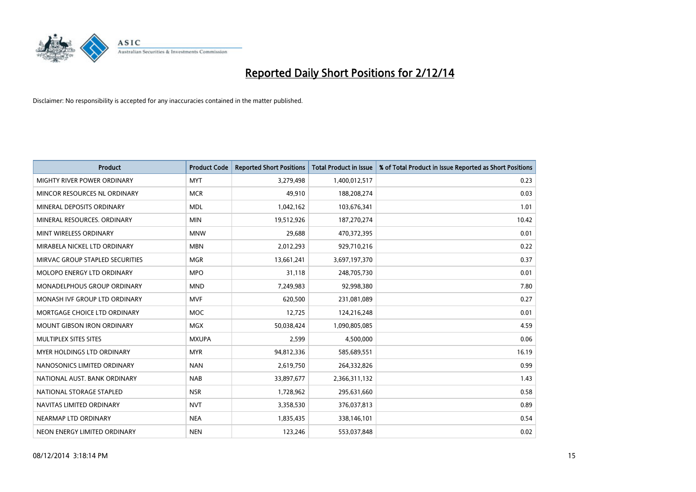

| <b>Product</b>                    | <b>Product Code</b> | <b>Reported Short Positions</b> | <b>Total Product in Issue</b> | % of Total Product in Issue Reported as Short Positions |
|-----------------------------------|---------------------|---------------------------------|-------------------------------|---------------------------------------------------------|
| MIGHTY RIVER POWER ORDINARY       | <b>MYT</b>          | 3,279,498                       | 1,400,012,517                 | 0.23                                                    |
| MINCOR RESOURCES NL ORDINARY      | <b>MCR</b>          | 49,910                          | 188,208,274                   | 0.03                                                    |
| MINERAL DEPOSITS ORDINARY         | <b>MDL</b>          | 1,042,162                       | 103,676,341                   | 1.01                                                    |
| MINERAL RESOURCES. ORDINARY       | <b>MIN</b>          | 19,512,926                      | 187,270,274                   | 10.42                                                   |
| MINT WIRELESS ORDINARY            | <b>MNW</b>          | 29,688                          | 470,372,395                   | 0.01                                                    |
| MIRABELA NICKEL LTD ORDINARY      | <b>MBN</b>          | 2,012,293                       | 929,710,216                   | 0.22                                                    |
| MIRVAC GROUP STAPLED SECURITIES   | <b>MGR</b>          | 13,661,241                      | 3,697,197,370                 | 0.37                                                    |
| MOLOPO ENERGY LTD ORDINARY        | <b>MPO</b>          | 31,118                          | 248,705,730                   | 0.01                                                    |
| MONADELPHOUS GROUP ORDINARY       | <b>MND</b>          | 7,249,983                       | 92,998,380                    | 7.80                                                    |
| MONASH IVF GROUP LTD ORDINARY     | <b>MVF</b>          | 620,500                         | 231,081,089                   | 0.27                                                    |
| MORTGAGE CHOICE LTD ORDINARY      | MOC                 | 12,725                          | 124,216,248                   | 0.01                                                    |
| <b>MOUNT GIBSON IRON ORDINARY</b> | <b>MGX</b>          | 50,038,424                      | 1,090,805,085                 | 4.59                                                    |
| MULTIPLEX SITES SITES             | <b>MXUPA</b>        | 2,599                           | 4,500,000                     | 0.06                                                    |
| MYER HOLDINGS LTD ORDINARY        | <b>MYR</b>          | 94,812,336                      | 585,689,551                   | 16.19                                                   |
| NANOSONICS LIMITED ORDINARY       | <b>NAN</b>          | 2,619,750                       | 264,332,826                   | 0.99                                                    |
| NATIONAL AUST. BANK ORDINARY      | <b>NAB</b>          | 33,897,677                      | 2,366,311,132                 | 1.43                                                    |
| NATIONAL STORAGE STAPLED          | <b>NSR</b>          | 1,728,962                       | 295,631,660                   | 0.58                                                    |
| NAVITAS LIMITED ORDINARY          | <b>NVT</b>          | 3,358,530                       | 376,037,813                   | 0.89                                                    |
| NEARMAP LTD ORDINARY              | <b>NEA</b>          | 1,835,435                       | 338,146,101                   | 0.54                                                    |
| NEON ENERGY LIMITED ORDINARY      | <b>NEN</b>          | 123,246                         | 553,037,848                   | 0.02                                                    |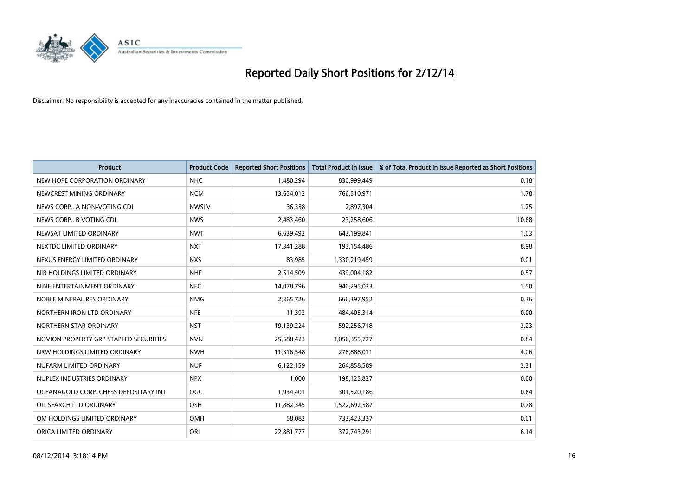

| <b>Product</b>                         | <b>Product Code</b> | <b>Reported Short Positions</b> | <b>Total Product in Issue</b> | % of Total Product in Issue Reported as Short Positions |
|----------------------------------------|---------------------|---------------------------------|-------------------------------|---------------------------------------------------------|
| NEW HOPE CORPORATION ORDINARY          | <b>NHC</b>          | 1,480,294                       | 830,999,449                   | 0.18                                                    |
| NEWCREST MINING ORDINARY               | <b>NCM</b>          | 13,654,012                      | 766,510,971                   | 1.78                                                    |
| NEWS CORP A NON-VOTING CDI             | <b>NWSLV</b>        | 36,358                          | 2,897,304                     | 1.25                                                    |
| NEWS CORP B VOTING CDI                 | <b>NWS</b>          | 2,483,460                       | 23,258,606                    | 10.68                                                   |
| NEWSAT LIMITED ORDINARY                | <b>NWT</b>          | 6,639,492                       | 643,199,841                   | 1.03                                                    |
| NEXTDC LIMITED ORDINARY                | <b>NXT</b>          | 17,341,288                      | 193,154,486                   | 8.98                                                    |
| NEXUS ENERGY LIMITED ORDINARY          | <b>NXS</b>          | 83,985                          | 1,330,219,459                 | 0.01                                                    |
| NIB HOLDINGS LIMITED ORDINARY          | <b>NHF</b>          | 2,514,509                       | 439,004,182                   | 0.57                                                    |
| NINE ENTERTAINMENT ORDINARY            | <b>NEC</b>          | 14,078,796                      | 940,295,023                   | 1.50                                                    |
| NOBLE MINERAL RES ORDINARY             | <b>NMG</b>          | 2,365,726                       | 666,397,952                   | 0.36                                                    |
| NORTHERN IRON LTD ORDINARY             | <b>NFE</b>          | 11,392                          | 484,405,314                   | 0.00                                                    |
| NORTHERN STAR ORDINARY                 | <b>NST</b>          | 19,139,224                      | 592,256,718                   | 3.23                                                    |
| NOVION PROPERTY GRP STAPLED SECURITIES | <b>NVN</b>          | 25,588,423                      | 3,050,355,727                 | 0.84                                                    |
| NRW HOLDINGS LIMITED ORDINARY          | <b>NWH</b>          | 11,316,548                      | 278,888,011                   | 4.06                                                    |
| NUFARM LIMITED ORDINARY                | <b>NUF</b>          | 6,122,159                       | 264,858,589                   | 2.31                                                    |
| NUPLEX INDUSTRIES ORDINARY             | <b>NPX</b>          | 1,000                           | 198,125,827                   | 0.00                                                    |
| OCEANAGOLD CORP. CHESS DEPOSITARY INT  | <b>OGC</b>          | 1,934,401                       | 301,520,186                   | 0.64                                                    |
| OIL SEARCH LTD ORDINARY                | OSH                 | 11,882,345                      | 1,522,692,587                 | 0.78                                                    |
| OM HOLDINGS LIMITED ORDINARY           | OMH                 | 58,082                          | 733,423,337                   | 0.01                                                    |
| ORICA LIMITED ORDINARY                 | ORI                 | 22,881,777                      | 372,743,291                   | 6.14                                                    |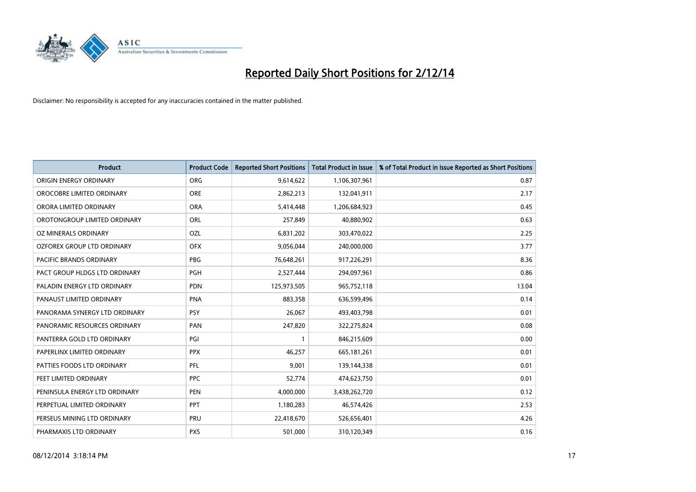

| <b>Product</b>                | <b>Product Code</b> | <b>Reported Short Positions</b> | <b>Total Product in Issue</b> | % of Total Product in Issue Reported as Short Positions |
|-------------------------------|---------------------|---------------------------------|-------------------------------|---------------------------------------------------------|
| ORIGIN ENERGY ORDINARY        | <b>ORG</b>          | 9,614,622                       | 1,106,307,961                 | 0.87                                                    |
| OROCOBRE LIMITED ORDINARY     | <b>ORE</b>          | 2,862,213                       | 132,041,911                   | 2.17                                                    |
| ORORA LIMITED ORDINARY        | <b>ORA</b>          | 5,414,448                       | 1,206,684,923                 | 0.45                                                    |
| OROTONGROUP LIMITED ORDINARY  | ORL                 | 257,849                         | 40,880,902                    | 0.63                                                    |
| OZ MINERALS ORDINARY          | OZL                 | 6,831,202                       | 303,470,022                   | 2.25                                                    |
| OZFOREX GROUP LTD ORDINARY    | <b>OFX</b>          | 9,056,044                       | 240,000,000                   | 3.77                                                    |
| PACIFIC BRANDS ORDINARY       | <b>PBG</b>          | 76,648,261                      | 917,226,291                   | 8.36                                                    |
| PACT GROUP HLDGS LTD ORDINARY | <b>PGH</b>          | 2,527,444                       | 294,097,961                   | 0.86                                                    |
| PALADIN ENERGY LTD ORDINARY   | <b>PDN</b>          | 125,973,505                     | 965,752,118                   | 13.04                                                   |
| PANAUST LIMITED ORDINARY      | <b>PNA</b>          | 883,358                         | 636,599,496                   | 0.14                                                    |
| PANORAMA SYNERGY LTD ORDINARY | <b>PSY</b>          | 26,067                          | 493,403,798                   | 0.01                                                    |
| PANORAMIC RESOURCES ORDINARY  | PAN                 | 247,820                         | 322,275,824                   | 0.08                                                    |
| PANTERRA GOLD LTD ORDINARY    | PGI                 | $\mathbf{1}$                    | 846,215,609                   | 0.00                                                    |
| PAPERLINX LIMITED ORDINARY    | <b>PPX</b>          | 46,257                          | 665, 181, 261                 | 0.01                                                    |
| PATTIES FOODS LTD ORDINARY    | PFL                 | 9,001                           | 139,144,338                   | 0.01                                                    |
| PEET LIMITED ORDINARY         | <b>PPC</b>          | 52,774                          | 474,623,750                   | 0.01                                                    |
| PENINSULA ENERGY LTD ORDINARY | <b>PEN</b>          | 4,000,000                       | 3,438,262,720                 | 0.12                                                    |
| PERPETUAL LIMITED ORDINARY    | PPT                 | 1,180,283                       | 46,574,426                    | 2.53                                                    |
| PERSEUS MINING LTD ORDINARY   | PRU                 | 22,418,670                      | 526,656,401                   | 4.26                                                    |
| PHARMAXIS LTD ORDINARY        | <b>PXS</b>          | 501,000                         | 310,120,349                   | 0.16                                                    |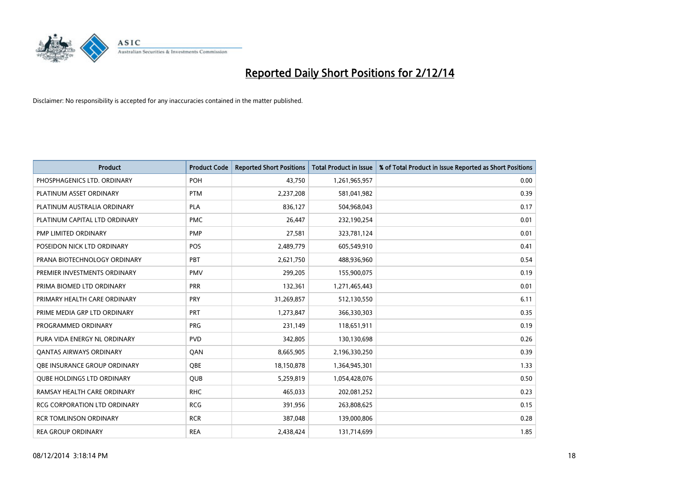

| <b>Product</b>                 | <b>Product Code</b> | <b>Reported Short Positions</b> | <b>Total Product in Issue</b> | % of Total Product in Issue Reported as Short Positions |
|--------------------------------|---------------------|---------------------------------|-------------------------------|---------------------------------------------------------|
| PHOSPHAGENICS LTD. ORDINARY    | POH                 | 43,750                          | 1,261,965,957                 | 0.00                                                    |
| PLATINUM ASSET ORDINARY        | <b>PTM</b>          | 2,237,208                       | 581,041,982                   | 0.39                                                    |
| PLATINUM AUSTRALIA ORDINARY    | <b>PLA</b>          | 836,127                         | 504,968,043                   | 0.17                                                    |
| PLATINUM CAPITAL LTD ORDINARY  | <b>PMC</b>          | 26,447                          | 232,190,254                   | 0.01                                                    |
| PMP LIMITED ORDINARY           | <b>PMP</b>          | 27,581                          | 323,781,124                   | 0.01                                                    |
| POSEIDON NICK LTD ORDINARY     | <b>POS</b>          | 2,489,779                       | 605,549,910                   | 0.41                                                    |
| PRANA BIOTECHNOLOGY ORDINARY   | <b>PBT</b>          | 2,621,750                       | 488,936,960                   | 0.54                                                    |
| PREMIER INVESTMENTS ORDINARY   | <b>PMV</b>          | 299,205                         | 155,900,075                   | 0.19                                                    |
| PRIMA BIOMED LTD ORDINARY      | <b>PRR</b>          | 132,361                         | 1,271,465,443                 | 0.01                                                    |
| PRIMARY HEALTH CARE ORDINARY   | <b>PRY</b>          | 31,269,857                      | 512,130,550                   | 6.11                                                    |
| PRIME MEDIA GRP LTD ORDINARY   | PRT                 | 1,273,847                       | 366,330,303                   | 0.35                                                    |
| PROGRAMMED ORDINARY            | <b>PRG</b>          | 231,149                         | 118,651,911                   | 0.19                                                    |
| PURA VIDA ENERGY NL ORDINARY   | <b>PVD</b>          | 342,805                         | 130,130,698                   | 0.26                                                    |
| <b>QANTAS AIRWAYS ORDINARY</b> | QAN                 | 8,665,905                       | 2,196,330,250                 | 0.39                                                    |
| OBE INSURANCE GROUP ORDINARY   | <b>OBE</b>          | 18,150,878                      | 1,364,945,301                 | 1.33                                                    |
| QUBE HOLDINGS LTD ORDINARY     | <b>QUB</b>          | 5,259,819                       | 1,054,428,076                 | 0.50                                                    |
| RAMSAY HEALTH CARE ORDINARY    | <b>RHC</b>          | 465,033                         | 202,081,252                   | 0.23                                                    |
| RCG CORPORATION LTD ORDINARY   | <b>RCG</b>          | 391,956                         | 263,808,625                   | 0.15                                                    |
| <b>RCR TOMLINSON ORDINARY</b>  | <b>RCR</b>          | 387,048                         | 139,000,806                   | 0.28                                                    |
| <b>REA GROUP ORDINARY</b>      | <b>REA</b>          | 2,438,424                       | 131,714,699                   | 1.85                                                    |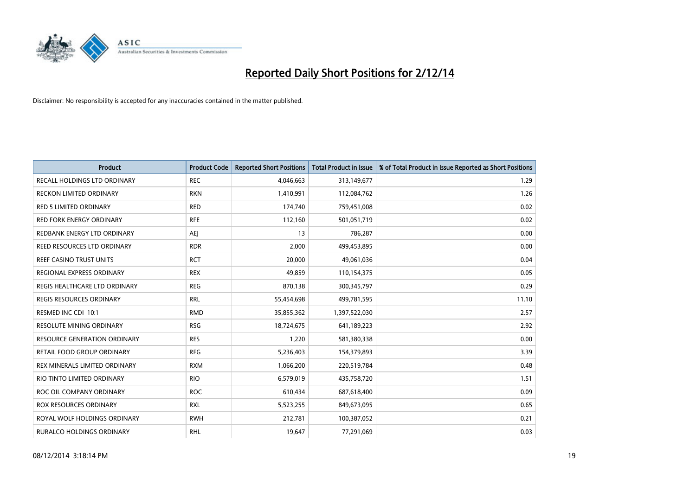

| Product                           | <b>Product Code</b> | <b>Reported Short Positions</b> | <b>Total Product in Issue</b> | % of Total Product in Issue Reported as Short Positions |
|-----------------------------------|---------------------|---------------------------------|-------------------------------|---------------------------------------------------------|
| RECALL HOLDINGS LTD ORDINARY      | <b>REC</b>          | 4,046,663                       | 313,149,677                   | 1.29                                                    |
| RECKON LIMITED ORDINARY           | <b>RKN</b>          | 1,410,991                       | 112,084,762                   | 1.26                                                    |
| RED 5 LIMITED ORDINARY            | <b>RED</b>          | 174,740                         | 759,451,008                   | 0.02                                                    |
| <b>RED FORK ENERGY ORDINARY</b>   | <b>RFE</b>          | 112,160                         | 501,051,719                   | 0.02                                                    |
| REDBANK ENERGY LTD ORDINARY       | <b>AEJ</b>          | 13                              | 786,287                       | 0.00                                                    |
| REED RESOURCES LTD ORDINARY       | <b>RDR</b>          | 2,000                           | 499,453,895                   | 0.00                                                    |
| REEF CASINO TRUST UNITS           | <b>RCT</b>          | 20,000                          | 49,061,036                    | 0.04                                                    |
| REGIONAL EXPRESS ORDINARY         | <b>REX</b>          | 49,859                          | 110,154,375                   | 0.05                                                    |
| REGIS HEALTHCARE LTD ORDINARY     | <b>REG</b>          | 870,138                         | 300, 345, 797                 | 0.29                                                    |
| <b>REGIS RESOURCES ORDINARY</b>   | <b>RRL</b>          | 55,454,698                      | 499,781,595                   | 11.10                                                   |
| RESMED INC CDI 10:1               | <b>RMD</b>          | 35,855,362                      | 1,397,522,030                 | 2.57                                                    |
| <b>RESOLUTE MINING ORDINARY</b>   | <b>RSG</b>          | 18,724,675                      | 641,189,223                   | 2.92                                                    |
| RESOURCE GENERATION ORDINARY      | <b>RES</b>          | 1,220                           | 581,380,338                   | 0.00                                                    |
| <b>RETAIL FOOD GROUP ORDINARY</b> | <b>RFG</b>          | 5,236,403                       | 154,379,893                   | 3.39                                                    |
| REX MINERALS LIMITED ORDINARY     | <b>RXM</b>          | 1,066,200                       | 220,519,784                   | 0.48                                                    |
| RIO TINTO LIMITED ORDINARY        | <b>RIO</b>          | 6,579,019                       | 435,758,720                   | 1.51                                                    |
| ROC OIL COMPANY ORDINARY          | <b>ROC</b>          | 610,434                         | 687,618,400                   | 0.09                                                    |
| ROX RESOURCES ORDINARY            | <b>RXL</b>          | 5,523,255                       | 849,673,095                   | 0.65                                                    |
| ROYAL WOLF HOLDINGS ORDINARY      | <b>RWH</b>          | 212,781                         | 100,387,052                   | 0.21                                                    |
| RURALCO HOLDINGS ORDINARY         | <b>RHL</b>          | 19,647                          | 77,291,069                    | 0.03                                                    |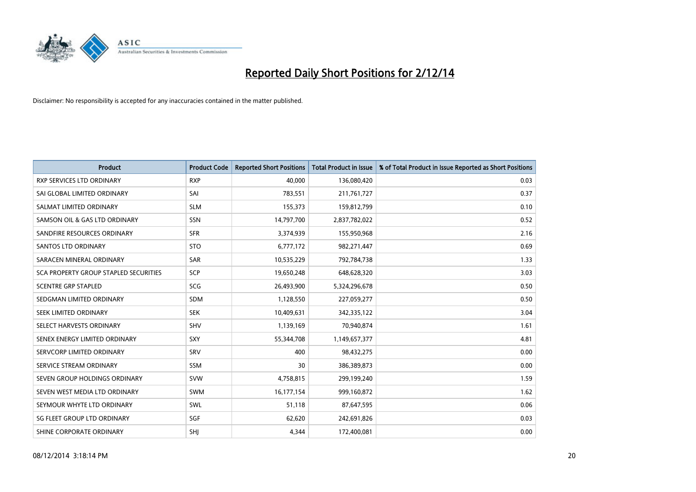

| <b>Product</b>                        | <b>Product Code</b> | <b>Reported Short Positions</b> | <b>Total Product in Issue</b> | % of Total Product in Issue Reported as Short Positions |
|---------------------------------------|---------------------|---------------------------------|-------------------------------|---------------------------------------------------------|
| <b>RXP SERVICES LTD ORDINARY</b>      | <b>RXP</b>          | 40,000                          | 136,080,420                   | 0.03                                                    |
| SAI GLOBAL LIMITED ORDINARY           | SAI                 | 783,551                         | 211,761,727                   | 0.37                                                    |
| SALMAT LIMITED ORDINARY               | <b>SLM</b>          | 155,373                         | 159,812,799                   | 0.10                                                    |
| SAMSON OIL & GAS LTD ORDINARY         | SSN                 | 14,797,700                      | 2,837,782,022                 | 0.52                                                    |
| SANDFIRE RESOURCES ORDINARY           | <b>SFR</b>          | 3,374,939                       | 155,950,968                   | 2.16                                                    |
| SANTOS LTD ORDINARY                   | <b>STO</b>          | 6,777,172                       | 982,271,447                   | 0.69                                                    |
| SARACEN MINERAL ORDINARY              | SAR                 | 10,535,229                      | 792,784,738                   | 1.33                                                    |
| SCA PROPERTY GROUP STAPLED SECURITIES | SCP                 | 19,650,248                      | 648,628,320                   | 3.03                                                    |
| <b>SCENTRE GRP STAPLED</b>            | <b>SCG</b>          | 26,493,900                      | 5,324,296,678                 | 0.50                                                    |
| SEDGMAN LIMITED ORDINARY              | SDM                 | 1,128,550                       | 227,059,277                   | 0.50                                                    |
| SEEK LIMITED ORDINARY                 | <b>SEK</b>          | 10,409,631                      | 342,335,122                   | 3.04                                                    |
| SELECT HARVESTS ORDINARY              | SHV                 | 1,139,169                       | 70,940,874                    | 1.61                                                    |
| SENEX ENERGY LIMITED ORDINARY         | <b>SXY</b>          | 55,344,708                      | 1,149,657,377                 | 4.81                                                    |
| SERVCORP LIMITED ORDINARY             | SRV                 | 400                             | 98,432,275                    | 0.00                                                    |
| SERVICE STREAM ORDINARY               | <b>SSM</b>          | 30                              | 386,389,873                   | 0.00                                                    |
| SEVEN GROUP HOLDINGS ORDINARY         | <b>SVW</b>          | 4,758,815                       | 299,199,240                   | 1.59                                                    |
| SEVEN WEST MEDIA LTD ORDINARY         | <b>SWM</b>          | 16,177,154                      | 999,160,872                   | 1.62                                                    |
| SEYMOUR WHYTE LTD ORDINARY            | SWL                 | 51,118                          | 87,647,595                    | 0.06                                                    |
| SG FLEET GROUP LTD ORDINARY           | SGF                 | 62,620                          | 242,691,826                   | 0.03                                                    |
| SHINE CORPORATE ORDINARY              | SHJ                 | 4,344                           | 172,400,081                   | 0.00                                                    |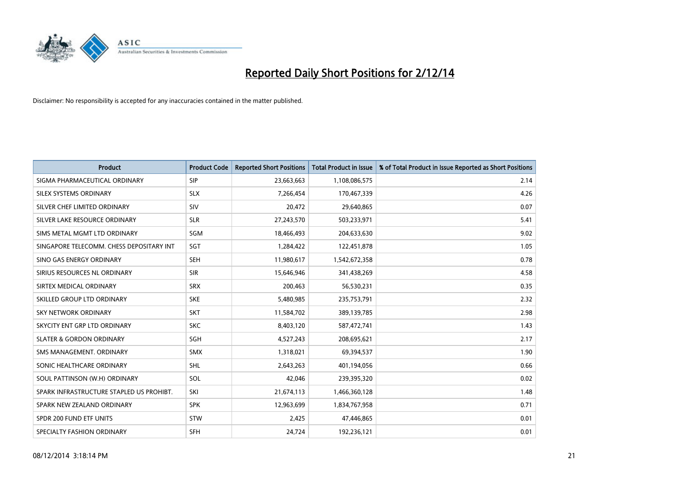

| <b>Product</b>                           | <b>Product Code</b> | <b>Reported Short Positions</b> | <b>Total Product in Issue</b> | % of Total Product in Issue Reported as Short Positions |
|------------------------------------------|---------------------|---------------------------------|-------------------------------|---------------------------------------------------------|
| SIGMA PHARMACEUTICAL ORDINARY            | <b>SIP</b>          | 23,663,663                      | 1,108,086,575                 | 2.14                                                    |
| SILEX SYSTEMS ORDINARY                   | <b>SLX</b>          | 7,266,454                       | 170,467,339                   | 4.26                                                    |
| SILVER CHEF LIMITED ORDINARY             | SIV                 | 20,472                          | 29,640,865                    | 0.07                                                    |
| SILVER LAKE RESOURCE ORDINARY            | <b>SLR</b>          | 27,243,570                      | 503,233,971                   | 5.41                                                    |
| SIMS METAL MGMT LTD ORDINARY             | SGM                 | 18,466,493                      | 204,633,630                   | 9.02                                                    |
| SINGAPORE TELECOMM. CHESS DEPOSITARY INT | SGT                 | 1,284,422                       | 122,451,878                   | 1.05                                                    |
| SINO GAS ENERGY ORDINARY                 | <b>SEH</b>          | 11,980,617                      | 1,542,672,358                 | 0.78                                                    |
| SIRIUS RESOURCES NL ORDINARY             | <b>SIR</b>          | 15,646,946                      | 341,438,269                   | 4.58                                                    |
| SIRTEX MEDICAL ORDINARY                  | <b>SRX</b>          | 200,463                         | 56,530,231                    | 0.35                                                    |
| SKILLED GROUP LTD ORDINARY               | <b>SKE</b>          | 5,480,985                       | 235,753,791                   | 2.32                                                    |
| <b>SKY NETWORK ORDINARY</b>              | <b>SKT</b>          | 11,584,702                      | 389,139,785                   | 2.98                                                    |
| SKYCITY ENT GRP LTD ORDINARY             | <b>SKC</b>          | 8,403,120                       | 587,472,741                   | 1.43                                                    |
| <b>SLATER &amp; GORDON ORDINARY</b>      | SGH                 | 4,527,243                       | 208,695,621                   | 2.17                                                    |
| SMS MANAGEMENT, ORDINARY                 | <b>SMX</b>          | 1,318,021                       | 69,394,537                    | 1.90                                                    |
| SONIC HEALTHCARE ORDINARY                | <b>SHL</b>          | 2,643,263                       | 401,194,056                   | 0.66                                                    |
| SOUL PATTINSON (W.H) ORDINARY            | SOL                 | 42,046                          | 239,395,320                   | 0.02                                                    |
| SPARK INFRASTRUCTURE STAPLED US PROHIBT. | SKI                 | 21,674,113                      | 1,466,360,128                 | 1.48                                                    |
| SPARK NEW ZEALAND ORDINARY               | <b>SPK</b>          | 12,963,699                      | 1,834,767,958                 | 0.71                                                    |
| SPDR 200 FUND ETF UNITS                  | <b>STW</b>          | 2,425                           | 47,446,865                    | 0.01                                                    |
| SPECIALTY FASHION ORDINARY               | <b>SFH</b>          | 24,724                          | 192,236,121                   | 0.01                                                    |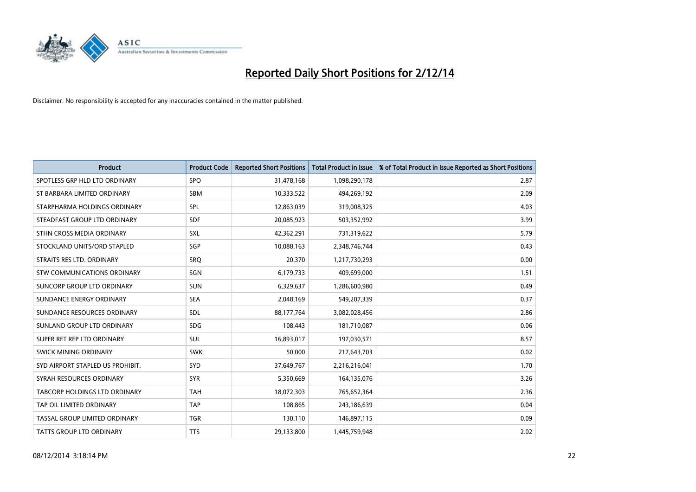

| <b>Product</b>                   | <b>Product Code</b> | <b>Reported Short Positions</b> | <b>Total Product in Issue</b> | % of Total Product in Issue Reported as Short Positions |
|----------------------------------|---------------------|---------------------------------|-------------------------------|---------------------------------------------------------|
| SPOTLESS GRP HLD LTD ORDINARY    | <b>SPO</b>          | 31,478,168                      | 1,098,290,178                 | 2.87                                                    |
| ST BARBARA LIMITED ORDINARY      | <b>SBM</b>          | 10,333,522                      | 494,269,192                   | 2.09                                                    |
| STARPHARMA HOLDINGS ORDINARY     | <b>SPL</b>          | 12,863,039                      | 319,008,325                   | 4.03                                                    |
| STEADFAST GROUP LTD ORDINARY     | <b>SDF</b>          | 20,085,923                      | 503,352,992                   | 3.99                                                    |
| STHN CROSS MEDIA ORDINARY        | <b>SXL</b>          | 42,362,291                      | 731,319,622                   | 5.79                                                    |
| STOCKLAND UNITS/ORD STAPLED      | SGP                 | 10,088,163                      | 2,348,746,744                 | 0.43                                                    |
| STRAITS RES LTD. ORDINARY        | <b>SRO</b>          | 20,370                          | 1,217,730,293                 | 0.00                                                    |
| STW COMMUNICATIONS ORDINARY      | SGN                 | 6,179,733                       | 409,699,000                   | 1.51                                                    |
| SUNCORP GROUP LTD ORDINARY       | <b>SUN</b>          | 6,329,637                       | 1,286,600,980                 | 0.49                                                    |
| SUNDANCE ENERGY ORDINARY         | <b>SEA</b>          | 2,048,169                       | 549,207,339                   | 0.37                                                    |
| SUNDANCE RESOURCES ORDINARY      | SDL                 | 88,177,764                      | 3,082,028,456                 | 2.86                                                    |
| SUNLAND GROUP LTD ORDINARY       | <b>SDG</b>          | 108,443                         | 181,710,087                   | 0.06                                                    |
| SUPER RET REP LTD ORDINARY       | <b>SUL</b>          | 16,893,017                      | 197,030,571                   | 8.57                                                    |
| SWICK MINING ORDINARY            | <b>SWK</b>          | 50.000                          | 217,643,703                   | 0.02                                                    |
| SYD AIRPORT STAPLED US PROHIBIT. | <b>SYD</b>          | 37,649,767                      | 2,216,216,041                 | 1.70                                                    |
| SYRAH RESOURCES ORDINARY         | <b>SYR</b>          | 5,350,669                       | 164,135,076                   | 3.26                                                    |
| TABCORP HOLDINGS LTD ORDINARY    | <b>TAH</b>          | 18,072,303                      | 765,652,364                   | 2.36                                                    |
| TAP OIL LIMITED ORDINARY         | <b>TAP</b>          | 108,865                         | 243,186,639                   | 0.04                                                    |
| TASSAL GROUP LIMITED ORDINARY    | <b>TGR</b>          | 130,110                         | 146,897,115                   | 0.09                                                    |
| <b>TATTS GROUP LTD ORDINARY</b>  | <b>TTS</b>          | 29,133,800                      | 1,445,759,948                 | 2.02                                                    |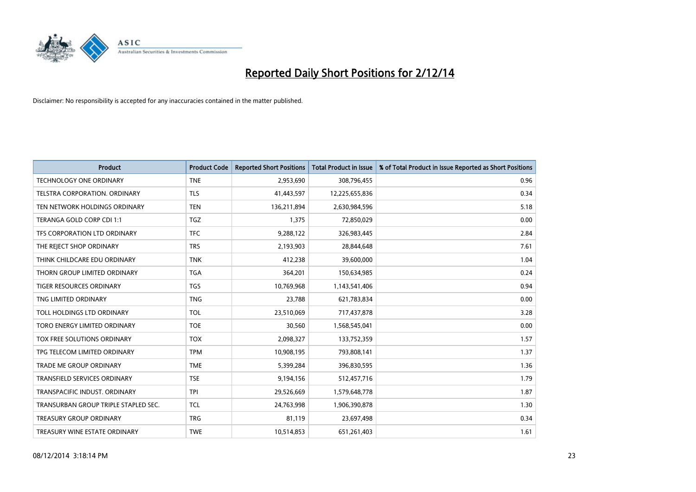

| <b>Product</b>                       | <b>Product Code</b> | <b>Reported Short Positions</b> | <b>Total Product in Issue</b> | % of Total Product in Issue Reported as Short Positions |
|--------------------------------------|---------------------|---------------------------------|-------------------------------|---------------------------------------------------------|
| <b>TECHNOLOGY ONE ORDINARY</b>       | <b>TNE</b>          | 2,953,690                       | 308,796,455                   | 0.96                                                    |
| TELSTRA CORPORATION. ORDINARY        | <b>TLS</b>          | 41,443,597                      | 12,225,655,836                | 0.34                                                    |
| TEN NETWORK HOLDINGS ORDINARY        | <b>TEN</b>          | 136,211,894                     | 2,630,984,596                 | 5.18                                                    |
| TERANGA GOLD CORP CDI 1:1            | <b>TGZ</b>          | 1,375                           | 72,850,029                    | 0.00                                                    |
| TFS CORPORATION LTD ORDINARY         | <b>TFC</b>          | 9,288,122                       | 326,983,445                   | 2.84                                                    |
| THE REJECT SHOP ORDINARY             | <b>TRS</b>          | 2,193,903                       | 28,844,648                    | 7.61                                                    |
| THINK CHILDCARE EDU ORDINARY         | <b>TNK</b>          | 412,238                         | 39,600,000                    | 1.04                                                    |
| THORN GROUP LIMITED ORDINARY         | <b>TGA</b>          | 364,201                         | 150,634,985                   | 0.24                                                    |
| <b>TIGER RESOURCES ORDINARY</b>      | <b>TGS</b>          | 10,769,968                      | 1,143,541,406                 | 0.94                                                    |
| TNG LIMITED ORDINARY                 | <b>TNG</b>          | 23,788                          | 621,783,834                   | 0.00                                                    |
| TOLL HOLDINGS LTD ORDINARY           | <b>TOL</b>          | 23,510,069                      | 717,437,878                   | 3.28                                                    |
| TORO ENERGY LIMITED ORDINARY         | <b>TOE</b>          | 30,560                          | 1,568,545,041                 | 0.00                                                    |
| TOX FREE SOLUTIONS ORDINARY          | <b>TOX</b>          | 2,098,327                       | 133,752,359                   | 1.57                                                    |
| TPG TELECOM LIMITED ORDINARY         | <b>TPM</b>          | 10,908,195                      | 793,808,141                   | 1.37                                                    |
| <b>TRADE ME GROUP ORDINARY</b>       | <b>TME</b>          | 5,399,284                       | 396,830,595                   | 1.36                                                    |
| TRANSFIELD SERVICES ORDINARY         | <b>TSE</b>          | 9,194,156                       | 512,457,716                   | 1.79                                                    |
| TRANSPACIFIC INDUST. ORDINARY        | <b>TPI</b>          | 29,526,669                      | 1,579,648,778                 | 1.87                                                    |
| TRANSURBAN GROUP TRIPLE STAPLED SEC. | <b>TCL</b>          | 24,763,998                      | 1,906,390,878                 | 1.30                                                    |
| <b>TREASURY GROUP ORDINARY</b>       | <b>TRG</b>          | 81,119                          | 23,697,498                    | 0.34                                                    |
| TREASURY WINE ESTATE ORDINARY        | <b>TWE</b>          | 10,514,853                      | 651,261,403                   | 1.61                                                    |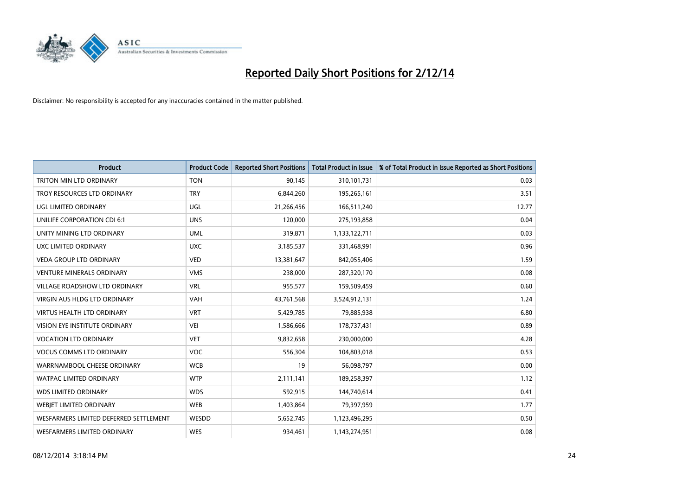

| <b>Product</b>                         | <b>Product Code</b> | <b>Reported Short Positions</b> | <b>Total Product in Issue</b> | % of Total Product in Issue Reported as Short Positions |
|----------------------------------------|---------------------|---------------------------------|-------------------------------|---------------------------------------------------------|
| TRITON MIN LTD ORDINARY                | <b>TON</b>          | 90,145                          | 310,101,731                   | 0.03                                                    |
| TROY RESOURCES LTD ORDINARY            | <b>TRY</b>          | 6,844,260                       | 195,265,161                   | 3.51                                                    |
| UGL LIMITED ORDINARY                   | UGL                 | 21,266,456                      | 166,511,240                   | 12.77                                                   |
| UNILIFE CORPORATION CDI 6:1            | <b>UNS</b>          | 120,000                         | 275,193,858                   | 0.04                                                    |
| UNITY MINING LTD ORDINARY              | <b>UML</b>          | 319,871                         | 1,133,122,711                 | 0.03                                                    |
| UXC LIMITED ORDINARY                   | <b>UXC</b>          | 3,185,537                       | 331,468,991                   | 0.96                                                    |
| <b>VEDA GROUP LTD ORDINARY</b>         | <b>VED</b>          | 13,381,647                      | 842,055,406                   | 1.59                                                    |
| <b>VENTURE MINERALS ORDINARY</b>       | <b>VMS</b>          | 238,000                         | 287,320,170                   | 0.08                                                    |
| VILLAGE ROADSHOW LTD ORDINARY          | <b>VRL</b>          | 955,577                         | 159,509,459                   | 0.60                                                    |
| VIRGIN AUS HLDG LTD ORDINARY           | <b>VAH</b>          | 43,761,568                      | 3,524,912,131                 | 1.24                                                    |
| VIRTUS HEALTH LTD ORDINARY             | <b>VRT</b>          | 5,429,785                       | 79,885,938                    | 6.80                                                    |
| <b>VISION EYE INSTITUTE ORDINARY</b>   | <b>VEI</b>          | 1,586,666                       | 178,737,431                   | 0.89                                                    |
| <b>VOCATION LTD ORDINARY</b>           | <b>VET</b>          | 9,832,658                       | 230,000,000                   | 4.28                                                    |
| <b>VOCUS COMMS LTD ORDINARY</b>        | <b>VOC</b>          | 556,304                         | 104,803,018                   | 0.53                                                    |
| WARRNAMBOOL CHEESE ORDINARY            | <b>WCB</b>          | 19                              | 56,098,797                    | 0.00                                                    |
| WATPAC LIMITED ORDINARY                | <b>WTP</b>          | 2,111,141                       | 189,258,397                   | 1.12                                                    |
| <b>WDS LIMITED ORDINARY</b>            | <b>WDS</b>          | 592,915                         | 144,740,614                   | 0.41                                                    |
| WEBJET LIMITED ORDINARY                | <b>WEB</b>          | 1,403,864                       | 79,397,959                    | 1.77                                                    |
| WESFARMERS LIMITED DEFERRED SETTLEMENT | WESDD               | 5,652,745                       | 1,123,496,295                 | 0.50                                                    |
| WESFARMERS LIMITED ORDINARY            | <b>WES</b>          | 934,461                         | 1,143,274,951                 | 0.08                                                    |